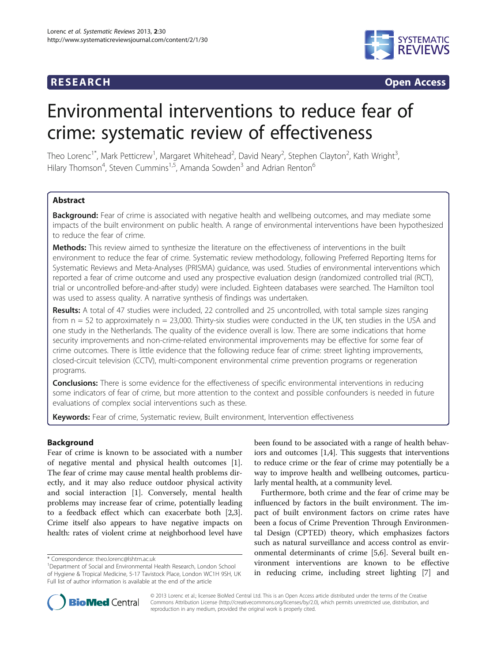

**RESEARCH RESEARCH CONSUMING ACCESS** 

# Environmental interventions to reduce fear of crime: systematic review of effectiveness

Theo Lorenc<sup>1\*</sup>, Mark Petticrew<sup>1</sup>, Margaret Whitehead<sup>2</sup>, David Neary<sup>2</sup>, Stephen Clayton<sup>2</sup>, Kath Wright<sup>3</sup> , Hilary Thomson<sup>4</sup>, Steven Cummins<sup>1,5</sup>, Amanda Sowden<sup>3</sup> and Adrian Renton<sup>6</sup>

# Abstract

Background: Fear of crime is associated with negative health and wellbeing outcomes, and may mediate some impacts of the built environment on public health. A range of environmental interventions have been hypothesized to reduce the fear of crime.

Methods: This review aimed to synthesize the literature on the effectiveness of interventions in the built environment to reduce the fear of crime. Systematic review methodology, following Preferred Reporting Items for Systematic Reviews and Meta-Analyses (PRISMA) guidance, was used. Studies of environmental interventions which reported a fear of crime outcome and used any prospective evaluation design (randomized controlled trial (RCT), trial or uncontrolled before-and-after study) were included. Eighteen databases were searched. The Hamilton tool was used to assess quality. A narrative synthesis of findings was undertaken.

Results: A total of 47 studies were included, 22 controlled and 25 uncontrolled, with total sample sizes ranging from  $n = 52$  to approximately  $n = 23,000$ . Thirty-six studies were conducted in the UK, ten studies in the USA and one study in the Netherlands. The quality of the evidence overall is low. There are some indications that home security improvements and non-crime-related environmental improvements may be effective for some fear of crime outcomes. There is little evidence that the following reduce fear of crime: street lighting improvements, closed-circuit television (CCTV), multi-component environmental crime prevention programs or regeneration programs.

**Conclusions:** There is some evidence for the effectiveness of specific environmental interventions in reducing some indicators of fear of crime, but more attention to the context and possible confounders is needed in future evaluations of complex social interventions such as these.

Keywords: Fear of crime, Systematic review, Built environment, Intervention effectiveness

# Background

Fear of crime is known to be associated with a number of negative mental and physical health outcomes [\[1](#page-8-0)]. The fear of crime may cause mental health problems directly, and it may also reduce outdoor physical activity and social interaction [[1\]](#page-8-0). Conversely, mental health problems may increase fear of crime, potentially leading to a feedback effect which can exacerbate both [\[2,3](#page-8-0)]. Crime itself also appears to have negative impacts on health: rates of violent crime at neighborhood level have

been found to be associated with a range of health behaviors and outcomes [\[1,4](#page-8-0)]. This suggests that interventions to reduce crime or the fear of crime may potentially be a way to improve health and wellbeing outcomes, particularly mental health, at a community level.

Furthermore, both crime and the fear of crime may be influenced by factors in the built environment. The impact of built environment factors on crime rates have been a focus of Crime Prevention Through Environmental Design (CPTED) theory, which emphasizes factors such as natural surveillance and access control as environmental determinants of crime [[5,6\]](#page-8-0). Several built environment interventions are known to be effective in reducing crime, including street lighting [[7\]](#page-8-0) and



© 2013 Lorenc et al.; licensee BioMed Central Ltd. This is an Open Access article distributed under the terms of the Creative Commons Attribution License [\(http://creativecommons.org/licenses/by/2.0\)](http://creativecommons.org/licenses/by/2.0), which permits unrestricted use, distribution, and reproduction in any medium, provided the original work is properly cited.

<sup>\*</sup> Correspondence: [theo.lorenc@lshtm.ac.uk](mailto:theo.lorenc@lshtm.ac.uk) <sup>1</sup>

<sup>&</sup>lt;sup>1</sup>Department of Social and Environmental Health Research, London School of Hygiene & Tropical Medicine, 5-17 Tavistock Place, London WC1H 9SH, UK Full list of author information is available at the end of the article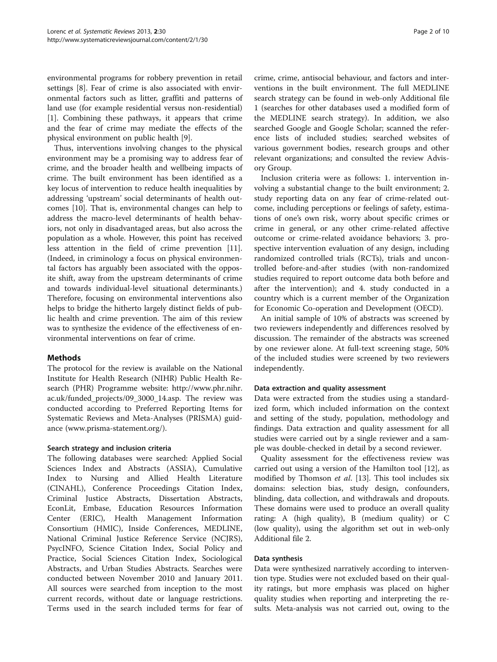environmental programs for robbery prevention in retail settings [[8\]](#page-8-0). Fear of crime is also associated with environmental factors such as litter, graffiti and patterns of land use (for example residential versus non-residential) [[1\]](#page-8-0). Combining these pathways, it appears that crime and the fear of crime may mediate the effects of the physical environment on public health [\[9](#page-8-0)].

Thus, interventions involving changes to the physical environment may be a promising way to address fear of crime, and the broader health and wellbeing impacts of crime. The built environment has been identified as a key locus of intervention to reduce health inequalities by addressing 'upstream' social determinants of health outcomes [[10](#page-8-0)]. That is, environmental changes can help to address the macro-level determinants of health behaviors, not only in disadvantaged areas, but also across the population as a whole. However, this point has received less attention in the field of crime prevention [\[11](#page-8-0)]. (Indeed, in criminology a focus on physical environmental factors has arguably been associated with the opposite shift, away from the upstream determinants of crime and towards individual-level situational determinants.) Therefore, focusing on environmental interventions also helps to bridge the hitherto largely distinct fields of public health and crime prevention. The aim of this review was to synthesize the evidence of the effectiveness of environmental interventions on fear of crime.

# Methods

The protocol for the review is available on the National Institute for Health Research (NIHR) Public Health Research (PHR) Programme website: [http://www.phr.nihr.](http://www.phr.nihr.ac.uk/funded_projects/09_3000_14.asp) [ac.uk/funded\\_projects/09\\_3000\\_14.asp.](http://www.phr.nihr.ac.uk/funded_projects/09_3000_14.asp) The review was conducted according to Preferred Reporting Items for Systematic Reviews and Meta-Analyses (PRISMA) guidance [\(www.prisma-statement.org/\)](http://www.prisma-statement.org/).

# Search strategy and inclusion criteria

The following databases were searched: Applied Social Sciences Index and Abstracts (ASSIA), Cumulative Index to Nursing and Allied Health Literature (CINAHL), Conference Proceedings Citation Index, Criminal Justice Abstracts, Dissertation Abstracts, EconLit, Embase, Education Resources Information Center (ERIC), Health Management Information Consortium (HMIC), Inside Conferences, MEDLINE, National Criminal Justice Reference Service (NCJRS), PsycINFO, Science Citation Index, Social Policy and Practice, Social Sciences Citation Index, Sociological Abstracts, and Urban Studies Abstracts. Searches were conducted between November 2010 and January 2011. All sources were searched from inception to the most current records, without date or language restrictions. Terms used in the search included terms for fear of

crime, crime, antisocial behaviour, and factors and interventions in the built environment. The full MEDLINE search strategy can be found in web-only Additional file [1](#page-8-0) (searches for other databases used a modified form of the MEDLINE search strategy). In addition, we also searched Google and Google Scholar; scanned the reference lists of included studies; searched websites of various government bodies, research groups and other relevant organizations; and consulted the review Advisory Group.

Inclusion criteria were as follows: 1. intervention involving a substantial change to the built environment; 2. study reporting data on any fear of crime-related outcome, including perceptions or feelings of safety, estimations of one's own risk, worry about specific crimes or crime in general, or any other crime-related affective outcome or crime-related avoidance behaviors; 3. prospective intervention evaluation of any design, including randomized controlled trials (RCTs), trials and uncontrolled before-and-after studies (with non-randomized studies required to report outcome data both before and after the intervention); and 4. study conducted in a country which is a current member of the Organization for Economic Co-operation and Development (OECD).

An initial sample of 10% of abstracts was screened by two reviewers independently and differences resolved by discussion. The remainder of the abstracts was screened by one reviewer alone. At full-text screening stage, 50% of the included studies were screened by two reviewers independently.

# Data extraction and quality assessment

Data were extracted from the studies using a standardized form, which included information on the context and setting of the study, population, methodology and findings. Data extraction and quality assessment for all studies were carried out by a single reviewer and a sample was double-checked in detail by a second reviewer.

Quality assessment for the effectiveness review was carried out using a version of the Hamilton tool [[12\]](#page-8-0), as modified by Thomson et al. [\[13](#page-8-0)]. This tool includes six domains: selection bias, study design, confounders, blinding, data collection, and withdrawals and dropouts. These domains were used to produce an overall quality rating: A (high quality), B (medium quality) or C (low quality), using the algorithm set out in web-only Additional file [2](#page-8-0).

# Data synthesis

Data were synthesized narratively according to intervention type. Studies were not excluded based on their quality ratings, but more emphasis was placed on higher quality studies when reporting and interpreting the results. Meta-analysis was not carried out, owing to the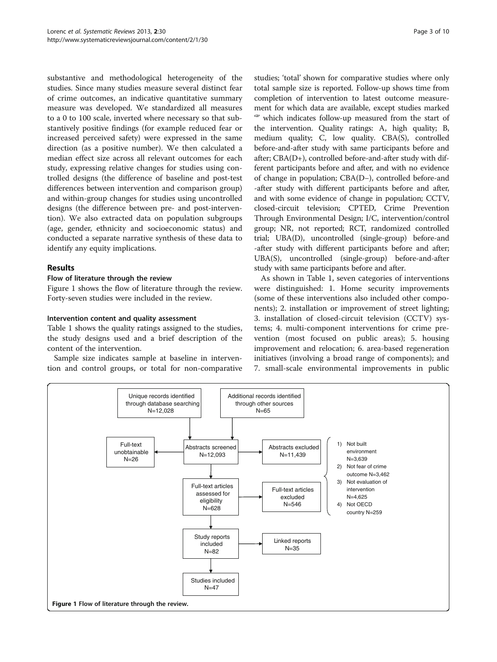substantive and methodological heterogeneity of the studies. Since many studies measure several distinct fear of crime outcomes, an indicative quantitative summary measure was developed. We standardized all measures to a 0 to 100 scale, inverted where necessary so that substantively positive findings (for example reduced fear or increased perceived safety) were expressed in the same direction (as a positive number). We then calculated a median effect size across all relevant outcomes for each study, expressing relative changes for studies using controlled designs (the difference of baseline and post-test differences between intervention and comparison group) and within-group changes for studies using uncontrolled designs (the difference between pre- and post-intervention). We also extracted data on population subgroups (age, gender, ethnicity and socioeconomic status) and conducted a separate narrative synthesis of these data to identify any equity implications.

# Results

## Flow of literature through the review

Figure 1 shows the flow of literature through the review. Forty-seven studies were included in the review.

# Intervention content and quality assessment

Table [1](#page-3-0) shows the quality ratings assigned to the studies, the study designs used and a brief description of the content of the intervention.

Sample size indicates sample at baseline in intervention and control groups, or total for non-comparative

studies; 'total' shown for comparative studies where only total sample size is reported. Follow-up shows time from completion of intervention to latest outcome measurement for which data are available, except studies marked  $\ddot{\phantom{0}}$ a which indicates follow-up measured from the start of the intervention. Quality ratings: A, high quality; B, medium quality; C, low quality. CBA(S), controlled before-and-after study with same participants before and after; CBA(D+), controlled before-and-after study with different participants before and after, and with no evidence of change in population; CBA(D−), controlled before-and -after study with different participants before and after, and with some evidence of change in population; CCTV, closed-circuit television; CPTED, Crime Prevention Through Environmental Design; I/C, intervention/control group; NR, not reported; RCT, randomized controlled trial; UBA(D), uncontrolled (single-group) before-and -after study with different participants before and after; UBA(S), uncontrolled (single-group) before-and-after study with same participants before and after.

As shown in Table [1](#page-3-0), seven categories of interventions were distinguished: 1. Home security improvements (some of these interventions also included other components); 2. installation or improvement of street lighting; 3. installation of closed-circuit television (CCTV) systems; 4. multi-component interventions for crime prevention (most focused on public areas); 5. housing improvement and relocation; 6. area-based regeneration initiatives (involving a broad range of components); and 7. small-scale environmental improvements in public

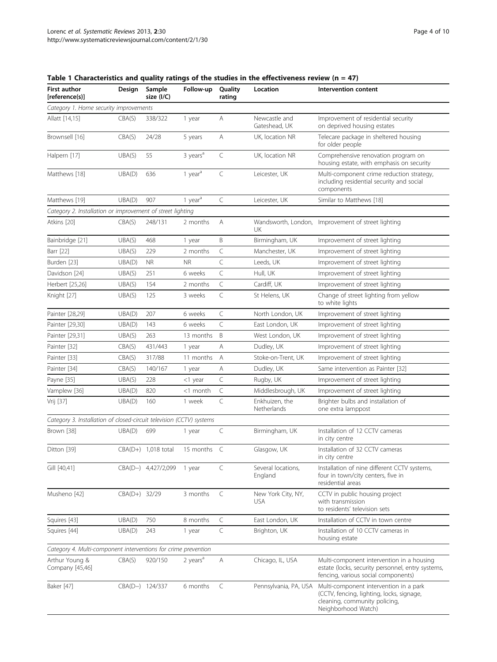| <b>First author</b><br>[reference(s)]                                | Design        | Sample<br>size (I/C) | Follow-up            | Quality<br>rating | Location                         | Intervention content                                                                                                                        |
|----------------------------------------------------------------------|---------------|----------------------|----------------------|-------------------|----------------------------------|---------------------------------------------------------------------------------------------------------------------------------------------|
| Category 1. Home security improvements                               |               |                      |                      |                   |                                  |                                                                                                                                             |
| Allatt [14,15]                                                       | CBA(S)        | 338/322              | 1 year               | Α                 | Newcastle and<br>Gateshead, UK   | Improvement of residential security<br>on deprived housing estates                                                                          |
| Brownsell [16]                                                       | CBA(S)        | 24/28                | 5 years              | Α                 | UK, location NR                  | Telecare package in sheltered housing<br>for older people                                                                                   |
| Halpern [17]                                                         | UBA(S)        | 55                   | 3 years <sup>a</sup> | C                 | UK, location NR                  | Comprehensive renovation program on<br>housing estate, with emphasis on security                                                            |
| Matthews [18]                                                        | UBA(D)        | 636                  | 1 year <sup>a</sup>  | C                 | Leicester, UK                    | Multi-component crime reduction strategy,<br>including residential security and social<br>components                                        |
| Matthews [19]                                                        | UBA(D)        | 907                  | 1 year <sup>a</sup>  | C                 | Leicester, UK                    | Similar to Matthews [18]                                                                                                                    |
| Category 2. Installation or improvement of street lighting           |               |                      |                      |                   |                                  |                                                                                                                                             |
| Atkins [20]                                                          | CBA(S)        | 248/131              | 2 months             | Α                 | UK                               | Wandsworth, London, Improvement of street lighting                                                                                          |
| Bainbridge [21]                                                      | UBA(S)        | 468                  | 1 year               | Β                 | Birmingham, UK                   | Improvement of street lighting                                                                                                              |
| Barr [22]                                                            | UBA(S)        | 229                  | 2 months             | C                 | Manchester, UK                   | Improvement of street lighting                                                                                                              |
| Burden [23]                                                          | UBA(D)        | <b>NR</b>            | <b>NR</b>            | C                 | Leeds, UK                        | Improvement of street lighting                                                                                                              |
| Davidson [24]                                                        | UBA(S)        | 251                  | 6 weeks              | C                 | Hull, UK                         | Improvement of street lighting                                                                                                              |
| Herbert [25,26]                                                      | UBA(S)        | 154                  | 2 months             | $\subset$         | Cardiff, UK                      | Improvement of street lighting                                                                                                              |
| Knight [27]                                                          | UBA(S)        | 125                  | 3 weeks              | C                 | St Helens, UK                    | Change of street lighting from yellow<br>to white lights                                                                                    |
| Painter [28,29]                                                      | UBA(D)        | 207                  | 6 weeks              | $\subset$         | North London, UK                 | Improvement of street lighting                                                                                                              |
| Painter [29,30]                                                      | UBA(D)        | 143                  | 6 weeks              | $\subset$         | East London, UK                  | Improvement of street lighting                                                                                                              |
| Painter [29,31]                                                      | UBA(S)        | 263                  | 13 months            | B                 | West London, UK                  | Improvement of street lighting                                                                                                              |
| Painter [32]                                                         | CBA(S)        | 431/443              | 1 year               | Α                 | Dudley, UK                       | Improvement of street lighting                                                                                                              |
| Painter [33]                                                         | CBA(S)        | 317/88               | 11 months            | А                 | Stoke-on-Trent, UK               | Improvement of street lighting                                                                                                              |
| Painter [34]                                                         | CBA(S)        | 140/167              | 1 year               | Α                 | Dudley, UK                       | Same intervention as Painter [32]                                                                                                           |
| Payne [35]                                                           | UBA(S)        | 228                  | <1 year              | C                 | Rugby, UK                        | Improvement of street lighting                                                                                                              |
| Vamplew [36]                                                         | UBA(D)        | 820                  | <1 month             | $\subset$         | Middlesbrough, UK                | Improvement of street lighting                                                                                                              |
| Vrij [37]                                                            | UBA(D)        | 160                  | 1 week               | C                 | Enkhuizen, the<br>Netherlands    | Brighter bulbs and installation of<br>one extra lamppost                                                                                    |
| Category 3. Installation of closed-circuit television (CCTV) systems |               |                      |                      |                   |                                  |                                                                                                                                             |
| Brown [38]                                                           | UBA(D)        | 699                  | 1 year               | C                 | Birmingham, UK                   | Installation of 12 CCTV cameras<br>in city centre                                                                                           |
| Ditton [39]                                                          |               | CBA(D+) 1.018 total  | 15 months            | C                 | Glasgow, UK                      | Installation of 32 CCTV cameras<br>in city centre                                                                                           |
| Gill [40,41]                                                         |               | CBA(D-) 4,427/2,099  | 1 year               | C                 | Several locations,<br>England    | Installation of nine different CCTV systems,<br>four in town/city centers, five in<br>residential areas                                     |
| Musheno [42]                                                         | CBA(D+) 32/29 |                      | 3 months             | C                 | New York City, NY,<br><b>USA</b> | CCTV in public housing project<br>with transmission<br>to residents' television sets                                                        |
| Squires [43]                                                         | UBA(D)        | 750                  | 8 months             | C                 | East London, UK                  | Installation of CCTV in town centre                                                                                                         |
| Squires [44]                                                         | UBA(D)        | 243                  | 1 year               | C                 | Brighton, UK                     | Installation of 10 CCTV cameras in<br>housing estate                                                                                        |
| Category 4. Multi-component interventions for crime prevention       |               |                      |                      |                   |                                  |                                                                                                                                             |
| Arthur Young &<br>Company [45,46]                                    | CBA(S)        | 920/150              | 2 years <sup>d</sup> | Α                 | Chicago, IL, USA                 | Multi-component intervention in a housing<br>estate (locks, security personnel, entry systems,<br>fencing, various social components)       |
| Baker [47]                                                           |               | CBA(D-) 124/337      | 6 months             | C                 | Pennsylvania, PA, USA            | Multi-component intervention in a park<br>(CCTV, fencing, lighting, locks, signage,<br>cleaning, community policing,<br>Neighborhood Watch) |

# <span id="page-3-0"></span>Table 1 Characteristics and quality ratings of the studies in the effectiveness review ( $n = 47$ )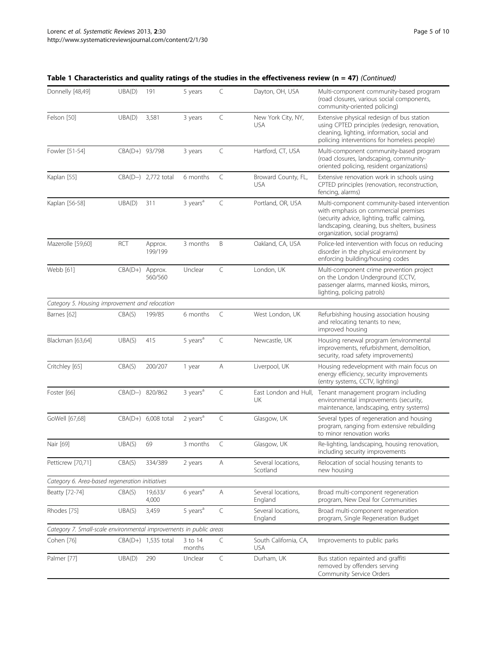| Donnelly [48,49]<br>UBA(D)<br>Dayton, OH, USA<br>191<br>5 years<br>C<br>community-oriented policing)<br>Felson [50]<br>UBA(D)<br>C<br>3,581<br>New York City, NY,<br>3 years<br><b>USA</b><br>Fowler [51-54]<br>CBA(D+) 93/798<br>C<br>Hartford, CT, USA<br>3 years<br>CBA(D-) 2,772 total<br>6 months<br>C<br>Broward County, FL,<br>Kaplan [55]<br><b>USA</b><br>fencing, alarms)<br>3 years <sup>a</sup><br>$\subset$<br>Kaplan [56-58]<br>UBA(D)<br>311<br>Portland, OR, USA<br>organization, social programs)<br>Mazerolle [59,60]<br>RCT<br>3 months<br>Β<br>Oakland, CA, USA<br>Approx.<br>199/199<br>enforcing building/housing codes<br>Unclear<br>C<br>London, UK<br>Webb [61]<br>Approx.<br>$CBA(D+)$<br>560/560<br>lighting, policing patrols)<br>Category 5. Housing improvement and relocation<br>CBA(S)<br>199/85<br>6 months<br>C<br>West London, UK<br>Barnes [62]<br>and relocating tenants to new,<br>improved housing<br>5 years <sup>a</sup><br>Blackman [63,64]<br>UBA(S)<br>C<br>Newcastle, UK<br>415<br>Critchley [65]<br>CBA(S)<br>200/207<br>Α<br>Liverpool, UK<br>1 year<br>(entry systems, CCTV, lighting)<br>3 years <sup>a</sup><br>$\subset$<br>Foster [66]<br>CBA(D-) 820/862<br>East London and Hull,<br>UK<br>GoWell [67,68]<br>CBA(D+) 6,008 total<br>2 years <sup>a</sup><br>C<br>Glasgow, UK<br>to minor renovation works<br>C<br>Nair [69]<br>UBA(S)<br>69<br>3 months<br>Glasgow, UK<br>including security improvements<br>Petticrew [70,71]<br>CBA(S)<br>334/389<br>Several locations,<br>2 years<br>Α<br>Scotland<br>new housing<br>Category 6. Area-based regeneration initiatives<br>6 years <sup>a</sup><br>А<br>Several locations,<br>Beatty [72-74]<br>CBA(S)<br>19,633/<br>4,000<br>England<br>$\mathsf C$<br>Rhodes [75]<br>3,459<br>5 years <sup>a</sup><br>Several locations,<br>UBA(S)<br>England<br>Category 7. Small-scale environmental improvements in public areas<br>Cohen [76]<br>$\subset$<br>CBA(D+) 1,535 total<br>3 to 14<br>South California, CA,<br>Improvements to public parks<br>months<br><b>USA</b><br>$\subset$<br>Durham, UK<br>Palmer [77]<br>UBA(D)<br>290<br>Unclear<br>Bus station repainted and graffiti |  |  |  |                                                                                                                                                                                           |
|--------------------------------------------------------------------------------------------------------------------------------------------------------------------------------------------------------------------------------------------------------------------------------------------------------------------------------------------------------------------------------------------------------------------------------------------------------------------------------------------------------------------------------------------------------------------------------------------------------------------------------------------------------------------------------------------------------------------------------------------------------------------------------------------------------------------------------------------------------------------------------------------------------------------------------------------------------------------------------------------------------------------------------------------------------------------------------------------------------------------------------------------------------------------------------------------------------------------------------------------------------------------------------------------------------------------------------------------------------------------------------------------------------------------------------------------------------------------------------------------------------------------------------------------------------------------------------------------------------------------------------------------------------------------------------------------------------------------------------------------------------------------------------------------------------------------------------------------------------------------------------------------------------------------------------------------------------------------------------------------------------------------------------------------------------------------------------------------------------------------------------------------------------------------------------------|--|--|--|-------------------------------------------------------------------------------------------------------------------------------------------------------------------------------------------|
|                                                                                                                                                                                                                                                                                                                                                                                                                                                                                                                                                                                                                                                                                                                                                                                                                                                                                                                                                                                                                                                                                                                                                                                                                                                                                                                                                                                                                                                                                                                                                                                                                                                                                                                                                                                                                                                                                                                                                                                                                                                                                                                                                                                      |  |  |  | Multi-component community-based program<br>(road closures, various social components,                                                                                                     |
|                                                                                                                                                                                                                                                                                                                                                                                                                                                                                                                                                                                                                                                                                                                                                                                                                                                                                                                                                                                                                                                                                                                                                                                                                                                                                                                                                                                                                                                                                                                                                                                                                                                                                                                                                                                                                                                                                                                                                                                                                                                                                                                                                                                      |  |  |  | Extensive physical redesign of bus station<br>using CPTED principles (redesign, renovation,<br>cleaning, lighting, information, social and<br>policing interventions for homeless people) |
|                                                                                                                                                                                                                                                                                                                                                                                                                                                                                                                                                                                                                                                                                                                                                                                                                                                                                                                                                                                                                                                                                                                                                                                                                                                                                                                                                                                                                                                                                                                                                                                                                                                                                                                                                                                                                                                                                                                                                                                                                                                                                                                                                                                      |  |  |  | Multi-component community-based program<br>(road closures, landscaping, community-<br>oriented policing, resident organizations)                                                          |
|                                                                                                                                                                                                                                                                                                                                                                                                                                                                                                                                                                                                                                                                                                                                                                                                                                                                                                                                                                                                                                                                                                                                                                                                                                                                                                                                                                                                                                                                                                                                                                                                                                                                                                                                                                                                                                                                                                                                                                                                                                                                                                                                                                                      |  |  |  | Extensive renovation work in schools using<br>CPTED principles (renovation, reconstruction,                                                                                               |
|                                                                                                                                                                                                                                                                                                                                                                                                                                                                                                                                                                                                                                                                                                                                                                                                                                                                                                                                                                                                                                                                                                                                                                                                                                                                                                                                                                                                                                                                                                                                                                                                                                                                                                                                                                                                                                                                                                                                                                                                                                                                                                                                                                                      |  |  |  | Multi-component community-based intervention<br>with emphasis on commercial premises<br>(security advice, lighting, traffic calming,<br>landscaping, cleaning, bus shelters, business     |
|                                                                                                                                                                                                                                                                                                                                                                                                                                                                                                                                                                                                                                                                                                                                                                                                                                                                                                                                                                                                                                                                                                                                                                                                                                                                                                                                                                                                                                                                                                                                                                                                                                                                                                                                                                                                                                                                                                                                                                                                                                                                                                                                                                                      |  |  |  | Police-led intervention with focus on reducing<br>disorder in the physical environment by                                                                                                 |
|                                                                                                                                                                                                                                                                                                                                                                                                                                                                                                                                                                                                                                                                                                                                                                                                                                                                                                                                                                                                                                                                                                                                                                                                                                                                                                                                                                                                                                                                                                                                                                                                                                                                                                                                                                                                                                                                                                                                                                                                                                                                                                                                                                                      |  |  |  | Multi-component crime prevention project<br>on the London Underground (CCTV,<br>passenger alarms, manned kiosks, mirrors,                                                                 |
|                                                                                                                                                                                                                                                                                                                                                                                                                                                                                                                                                                                                                                                                                                                                                                                                                                                                                                                                                                                                                                                                                                                                                                                                                                                                                                                                                                                                                                                                                                                                                                                                                                                                                                                                                                                                                                                                                                                                                                                                                                                                                                                                                                                      |  |  |  |                                                                                                                                                                                           |
|                                                                                                                                                                                                                                                                                                                                                                                                                                                                                                                                                                                                                                                                                                                                                                                                                                                                                                                                                                                                                                                                                                                                                                                                                                                                                                                                                                                                                                                                                                                                                                                                                                                                                                                                                                                                                                                                                                                                                                                                                                                                                                                                                                                      |  |  |  | Refurbishing housing association housing                                                                                                                                                  |
|                                                                                                                                                                                                                                                                                                                                                                                                                                                                                                                                                                                                                                                                                                                                                                                                                                                                                                                                                                                                                                                                                                                                                                                                                                                                                                                                                                                                                                                                                                                                                                                                                                                                                                                                                                                                                                                                                                                                                                                                                                                                                                                                                                                      |  |  |  | Housing renewal program (environmental<br>improvements, refurbishment, demolition,<br>security, road safety improvements)                                                                 |
|                                                                                                                                                                                                                                                                                                                                                                                                                                                                                                                                                                                                                                                                                                                                                                                                                                                                                                                                                                                                                                                                                                                                                                                                                                                                                                                                                                                                                                                                                                                                                                                                                                                                                                                                                                                                                                                                                                                                                                                                                                                                                                                                                                                      |  |  |  | Housing redevelopment with main focus on<br>energy efficiency, security improvements                                                                                                      |
|                                                                                                                                                                                                                                                                                                                                                                                                                                                                                                                                                                                                                                                                                                                                                                                                                                                                                                                                                                                                                                                                                                                                                                                                                                                                                                                                                                                                                                                                                                                                                                                                                                                                                                                                                                                                                                                                                                                                                                                                                                                                                                                                                                                      |  |  |  | Tenant management program including<br>environmental improvements (security,<br>maintenance, landscaping, entry systems)                                                                  |
|                                                                                                                                                                                                                                                                                                                                                                                                                                                                                                                                                                                                                                                                                                                                                                                                                                                                                                                                                                                                                                                                                                                                                                                                                                                                                                                                                                                                                                                                                                                                                                                                                                                                                                                                                                                                                                                                                                                                                                                                                                                                                                                                                                                      |  |  |  | Several types of regeneration and housing<br>program, ranging from extensive rebuilding                                                                                                   |
|                                                                                                                                                                                                                                                                                                                                                                                                                                                                                                                                                                                                                                                                                                                                                                                                                                                                                                                                                                                                                                                                                                                                                                                                                                                                                                                                                                                                                                                                                                                                                                                                                                                                                                                                                                                                                                                                                                                                                                                                                                                                                                                                                                                      |  |  |  | Re-lighting, landscaping, housing renovation,                                                                                                                                             |
|                                                                                                                                                                                                                                                                                                                                                                                                                                                                                                                                                                                                                                                                                                                                                                                                                                                                                                                                                                                                                                                                                                                                                                                                                                                                                                                                                                                                                                                                                                                                                                                                                                                                                                                                                                                                                                                                                                                                                                                                                                                                                                                                                                                      |  |  |  | Relocation of social housing tenants to                                                                                                                                                   |
|                                                                                                                                                                                                                                                                                                                                                                                                                                                                                                                                                                                                                                                                                                                                                                                                                                                                                                                                                                                                                                                                                                                                                                                                                                                                                                                                                                                                                                                                                                                                                                                                                                                                                                                                                                                                                                                                                                                                                                                                                                                                                                                                                                                      |  |  |  |                                                                                                                                                                                           |
|                                                                                                                                                                                                                                                                                                                                                                                                                                                                                                                                                                                                                                                                                                                                                                                                                                                                                                                                                                                                                                                                                                                                                                                                                                                                                                                                                                                                                                                                                                                                                                                                                                                                                                                                                                                                                                                                                                                                                                                                                                                                                                                                                                                      |  |  |  | Broad multi-component regeneration<br>program, New Deal for Communities                                                                                                                   |
|                                                                                                                                                                                                                                                                                                                                                                                                                                                                                                                                                                                                                                                                                                                                                                                                                                                                                                                                                                                                                                                                                                                                                                                                                                                                                                                                                                                                                                                                                                                                                                                                                                                                                                                                                                                                                                                                                                                                                                                                                                                                                                                                                                                      |  |  |  | Broad multi-component regeneration<br>program, Single Regeneration Budget                                                                                                                 |
|                                                                                                                                                                                                                                                                                                                                                                                                                                                                                                                                                                                                                                                                                                                                                                                                                                                                                                                                                                                                                                                                                                                                                                                                                                                                                                                                                                                                                                                                                                                                                                                                                                                                                                                                                                                                                                                                                                                                                                                                                                                                                                                                                                                      |  |  |  |                                                                                                                                                                                           |
|                                                                                                                                                                                                                                                                                                                                                                                                                                                                                                                                                                                                                                                                                                                                                                                                                                                                                                                                                                                                                                                                                                                                                                                                                                                                                                                                                                                                                                                                                                                                                                                                                                                                                                                                                                                                                                                                                                                                                                                                                                                                                                                                                                                      |  |  |  |                                                                                                                                                                                           |
| Community Service Orders                                                                                                                                                                                                                                                                                                                                                                                                                                                                                                                                                                                                                                                                                                                                                                                                                                                                                                                                                                                                                                                                                                                                                                                                                                                                                                                                                                                                                                                                                                                                                                                                                                                                                                                                                                                                                                                                                                                                                                                                                                                                                                                                                             |  |  |  | removed by offenders serving                                                                                                                                                              |

# Table 1 Characteristics and quality ratings of the studies in the effectiveness review (n = 47) (Continued)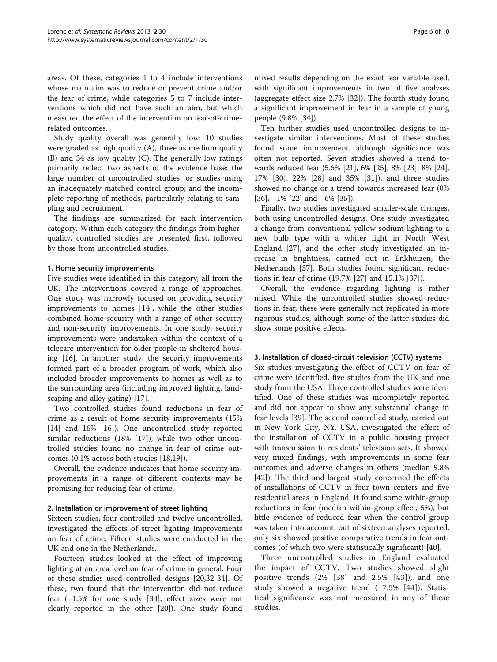areas. Of these, categories 1 to 4 include interventions whose main aim was to reduce or prevent crime and/or the fear of crime, while categories 5 to 7 include interventions which did not have such an aim, but which measured the effect of the intervention on fear-of-crimerelated outcomes.

Study quality overall was generally low: 10 studies were graded as high quality (A), three as medium quality (B) and 34 as low quality (C). The generally low ratings primarily reflect two aspects of the evidence base: the large number of uncontrolled studies, or studies using an inadequately matched control group; and the incomplete reporting of methods, particularly relating to sampling and recruitment.

The findings are summarized for each intervention category. Within each category the findings from higherquality, controlled studies are presented first, followed by those from uncontrolled studies.

## 1. Home security improvements

Five studies were identified in this category, all from the UK. The interventions covered a range of approaches. One study was narrowly focused on providing security improvements to homes [[14](#page-8-0)], while the other studies combined home security with a range of other security and non-security improvements. In one study, security improvements were undertaken within the context of a telecare intervention for older people in sheltered housing [[16](#page-8-0)]. In another study, the security improvements formed part of a broader program of work, which also included broader improvements to homes as well as to the surrounding area (including improved lighting, landscaping and alley gating) [[17](#page-8-0)].

Two controlled studies found reductions in fear of crime as a result of home security improvements (15% [[14\]](#page-8-0) and 16% [[16\]](#page-8-0)). One uncontrolled study reported similar reductions (18% [\[17\]](#page-8-0)), while two other uncontrolled studies found no change in fear of crime outcomes (0.1% across both studies [[18,19](#page-8-0)]).

Overall, the evidence indicates that home security improvements in a range of different contexts may be promising for reducing fear of crime.

#### 2. Installation or improvement of street lighting

Sixteen studies, four controlled and twelve uncontrolled, investigated the effects of street lighting improvements on fear of crime. Fifteen studies were conducted in the UK and one in the Netherlands.

Fourteen studies looked at the effect of improving lighting at an area level on fear of crime in general. Four of these studies used controlled designs [[20,32-34](#page-8-0)]. Of these, two found that the intervention did not reduce fear (−1.5% for one study [\[33\]](#page-8-0); effect sizes were not clearly reported in the other [[20\]](#page-8-0)). One study found

mixed results depending on the exact fear variable used, with significant improvements in two of five analyses (aggregate effect size 2.7% [\[32](#page-8-0)]). The fourth study found a significant improvement in fear in a sample of young people (9.8% [[34](#page-8-0)]).

Ten further studies used uncontrolled designs to investigate similar interventions. Most of these studies found some improvement, although significance was often not reported. Seven studies showed a trend towards reduced fear (5.6% [\[21](#page-8-0)], 6% [[25\]](#page-8-0), 8% [\[23\]](#page-8-0), 8% [\[24](#page-8-0)], 17% [[30\]](#page-8-0), 22% [[28\]](#page-8-0) and 35% [[31\]](#page-8-0)), and three studies showed no change or a trend towards increased fear (0% [[36\]](#page-9-0), -1% [[22](#page-8-0)] and -6% [\[35\]](#page-9-0)).

Finally, two studies investigated smaller-scale changes, both using uncontrolled designs. One study investigated a change from conventional yellow sodium lighting to a new bulb type with a whiter light in North West England [\[27](#page-8-0)], and the other study investigated an increase in brightness, carried out in Enkhuizen, the Netherlands [[37\]](#page-9-0). Both studies found significant reductions in fear of crime (19.7% [[27\]](#page-8-0) and 15.1% [[37\]](#page-9-0)).

Overall, the evidence regarding lighting is rather mixed. While the uncontrolled studies showed reductions in fear, these were generally not replicated in more rigorous studies, although some of the latter studies did show some positive effects.

## 3. Installation of closed-circuit television (CCTV) systems

Six studies investigating the effect of CCTV on fear of crime were identified, five studies from the UK and one study from the USA. Three controlled studies were identified. One of these studies was incompletely reported and did not appear to show any substantial change in fear levels [[39\]](#page-9-0). The second controlled study, carried out in New York City, NY, USA, investigated the effect of the installation of CCTV in a public housing project with transmission to residents' television sets. It showed very mixed findings, with improvements in some fear outcomes and adverse changes in others (median 9.8% [[42\]](#page-9-0)). The third and largest study concerned the effects of installations of CCTV in four town centers and five residential areas in England. It found some within-group reductions in fear (median within-group effect, 5%), but little evidence of reduced fear when the control group was taken into account: out of sixteen analyses reported, only six showed positive comparative trends in fear outcomes (of which two were statistically significant) [\[40](#page-9-0)].

Three uncontrolled studies in England evaluated the impact of CCTV. Two studies showed slight positive trends (2% [[38](#page-9-0)] and 2.5% [[43](#page-9-0)]), and one study showed a negative trend (-7.5% [[44](#page-9-0)]). Statistical significance was not measured in any of these studies.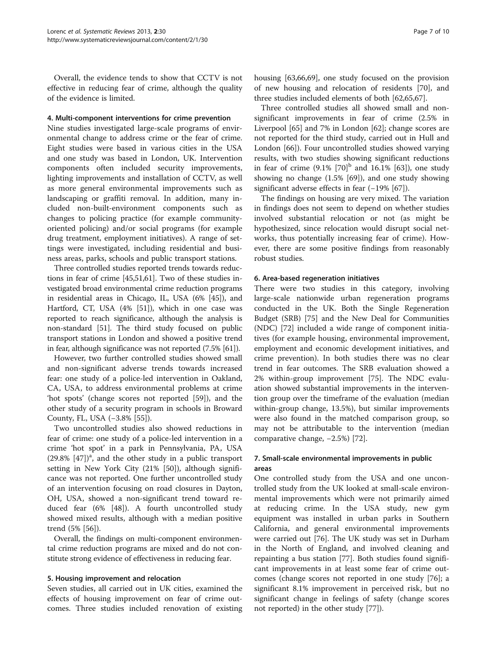Overall, the evidence tends to show that CCTV is not effective in reducing fear of crime, although the quality of the evidence is limited.

#### 4. Multi-component interventions for crime prevention

Nine studies investigated large-scale programs of environmental change to address crime or the fear of crime. Eight studies were based in various cities in the USA and one study was based in London, UK. Intervention components often included security improvements, lighting improvements and installation of CCTV, as well as more general environmental improvements such as landscaping or graffiti removal. In addition, many included non-built-environment components such as changes to policing practice (for example communityoriented policing) and/or social programs (for example drug treatment, employment initiatives). A range of settings were investigated, including residential and business areas, parks, schools and public transport stations.

Three controlled studies reported trends towards reductions in fear of crime [[45,51,61\]](#page-9-0). Two of these studies investigated broad environmental crime reduction programs in residential areas in Chicago, IL, USA (6% [\[45\]](#page-9-0)), and Hartford, CT, USA (4% [[51](#page-9-0)]), which in one case was reported to reach significance, although the analysis is non-standard [\[51\]](#page-9-0). The third study focused on public transport stations in London and showed a positive trend in fear, although significance was not reported (7.5% [\[61\]](#page-9-0)).

However, two further controlled studies showed small and non-significant adverse trends towards increased fear: one study of a police-led intervention in Oakland, CA, USA, to address environmental problems at crime 'hot spots' (change scores not reported [\[59](#page-9-0)]), and the other study of a security program in schools in Broward County, FL, USA (−3.8% [[55](#page-9-0)]).

Two uncontrolled studies also showed reductions in fear of crime: one study of a police-led intervention in a crime 'hot spot' in a park in Pennsylvania, PA, USA  $(29.8\% \, [47])^a$  $(29.8\% \, [47])^a$  $(29.8\% \, [47])^a$ , and the other study in a public transport setting in New York City (21% [[50\]](#page-9-0)), although significance was not reported. One further uncontrolled study of an intervention focusing on road closures in Dayton, OH, USA, showed a non-significant trend toward reduced fear (6% [[48](#page-9-0)]). A fourth uncontrolled study showed mixed results, although with a median positive trend (5% [[56](#page-9-0)]).

Overall, the findings on multi-component environmental crime reduction programs are mixed and do not constitute strong evidence of effectiveness in reducing fear.

## 5. Housing improvement and relocation

Seven studies, all carried out in UK cities, examined the effects of housing improvement on fear of crime outcomes. Three studies included renovation of existing housing [\[63,66,69](#page-9-0)], one study focused on the provision of new housing and relocation of residents [[70\]](#page-9-0), and three studies included elements of both [\[62,65,67\]](#page-9-0).

Three controlled studies all showed small and nonsignificant improvements in fear of crime (2.5% in Liverpool [[65](#page-9-0)] and 7% in London [[62\]](#page-9-0); change scores are not reported for the third study, carried out in Hull and London [\[66\]](#page-9-0)). Four uncontrolled studies showed varying results, with two studies showing significant reductions in fear of crime  $(9.1\%~[70]^b$  $(9.1\%~[70]^b$  $(9.1\%~[70]^b$  and 16.1% [\[63](#page-9-0)]), one study showing no change (1.5% [[69\]](#page-9-0)), and one study showing significant adverse effects in fear (−19% [[67\]](#page-9-0)).

The findings on housing are very mixed. The variation in findings does not seem to depend on whether studies involved substantial relocation or not (as might be hypothesized, since relocation would disrupt social networks, thus potentially increasing fear of crime). However, there are some positive findings from reasonably robust studies.

#### 6. Area-based regeneration initiatives

There were two studies in this category, involving large-scale nationwide urban regeneration programs conducted in the UK. Both the Single Regeneration Budget (SRB) [\[75\]](#page-9-0) and the New Deal for Communities (NDC) [[72](#page-9-0)] included a wide range of component initiatives (for example housing, environmental improvement, employment and economic development initiatives, and crime prevention). In both studies there was no clear trend in fear outcomes. The SRB evaluation showed a 2% within-group improvement [\[75](#page-9-0)]. The NDC evaluation showed substantial improvements in the intervention group over the timeframe of the evaluation (median within-group change, 13.5%), but similar improvements were also found in the matched comparison group, so may not be attributable to the intervention (median comparative change, −2.5%) [\[72](#page-9-0)].

# 7. Small-scale environmental improvements in public areas

One controlled study from the USA and one uncontrolled study from the UK looked at small-scale environmental improvements which were not primarily aimed at reducing crime. In the USA study, new gym equipment was installed in urban parks in Southern California, and general environmental improvements were carried out [\[76](#page-9-0)]. The UK study was set in Durham in the North of England, and involved cleaning and repainting a bus station [[77\]](#page-9-0). Both studies found significant improvements in at least some fear of crime outcomes (change scores not reported in one study [\[76\]](#page-9-0); a significant 8.1% improvement in perceived risk, but no significant change in feelings of safety (change scores not reported) in the other study [[77\]](#page-9-0)).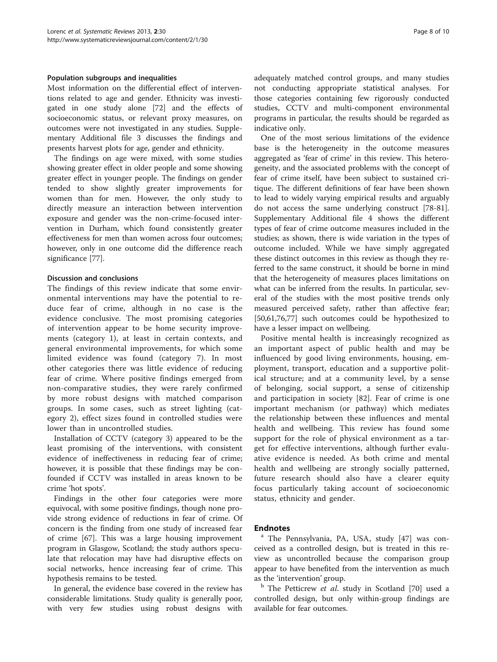## Population subgroups and inequalities

Most information on the differential effect of interventions related to age and gender. Ethnicity was investigated in one study alone [[72\]](#page-9-0) and the effects of socioeconomic status, or relevant proxy measures, on outcomes were not investigated in any studies. Supplementary Additional file [3](#page-8-0) discusses the findings and presents harvest plots for age, gender and ethnicity.

The findings on age were mixed, with some studies showing greater effect in older people and some showing greater effect in younger people. The findings on gender tended to show slightly greater improvements for women than for men. However, the only study to directly measure an interaction between intervention exposure and gender was the non-crime-focused intervention in Durham, which found consistently greater effectiveness for men than women across four outcomes; however, only in one outcome did the difference reach significance [\[77](#page-9-0)].

# Discussion and conclusions

The findings of this review indicate that some environmental interventions may have the potential to reduce fear of crime, although in no case is the evidence conclusive. The most promising categories of intervention appear to be home security improvements (category 1), at least in certain contexts, and general environmental improvements, for which some limited evidence was found (category 7). In most other categories there was little evidence of reducing fear of crime. Where positive findings emerged from non-comparative studies, they were rarely confirmed by more robust designs with matched comparison groups. In some cases, such as street lighting (category 2), effect sizes found in controlled studies were lower than in uncontrolled studies.

Installation of CCTV (category 3) appeared to be the least promising of the interventions, with consistent evidence of ineffectiveness in reducing fear of crime; however, it is possible that these findings may be confounded if CCTV was installed in areas known to be crime 'hot spots'.

Findings in the other four categories were more equivocal, with some positive findings, though none provide strong evidence of reductions in fear of crime. Of concern is the finding from one study of increased fear of crime [\[67\]](#page-9-0). This was a large housing improvement program in Glasgow, Scotland; the study authors speculate that relocation may have had disruptive effects on social networks, hence increasing fear of crime. This hypothesis remains to be tested.

In general, the evidence base covered in the review has considerable limitations. Study quality is generally poor, with very few studies using robust designs with adequately matched control groups, and many studies not conducting appropriate statistical analyses. For those categories containing few rigorously conducted studies, CCTV and multi-component environmental programs in particular, the results should be regarded as indicative only.

One of the most serious limitations of the evidence base is the heterogeneity in the outcome measures aggregated as 'fear of crime' in this review. This heterogeneity, and the associated problems with the concept of fear of crime itself, have been subject to sustained critique. The different definitions of fear have been shown to lead to widely varying empirical results and arguably do not access the same underlying construct [\[78-81](#page-9-0)]. Supplementary Additional file [4](#page-8-0) shows the different types of fear of crime outcome measures included in the studies; as shown, there is wide variation in the types of outcome included. While we have simply aggregated these distinct outcomes in this review as though they referred to the same construct, it should be borne in mind that the heterogeneity of measures places limitations on what can be inferred from the results. In particular, several of the studies with the most positive trends only measured perceived safety, rather than affective fear; [[50,61,76,77\]](#page-9-0) such outcomes could be hypothesized to have a lesser impact on wellbeing.

Positive mental health is increasingly recognized as an important aspect of public health and may be influenced by good living environments, housing, employment, transport, education and a supportive political structure; and at a community level, by a sense of belonging, social support, a sense of citizenship and participation in society [\[82](#page-9-0)]. Fear of crime is one important mechanism (or pathway) which mediates the relationship between these influences and mental health and wellbeing. This review has found some support for the role of physical environment as a target for effective interventions, although further evaluative evidence is needed. As both crime and mental health and wellbeing are strongly socially patterned, future research should also have a clearer equity focus particularly taking account of socioeconomic status, ethnicity and gender.

**Endnotes**<br><sup>a</sup> The Pennsylvania, PA, USA, study [[47\]](#page-9-0) was conceived as a controlled design, but is treated in this review as uncontrolled because the comparison group appear to have benefited from the intervention as much as the 'intervention' group.

 $b$  The Petticrew *et al.* study in Scotland [\[70](#page-9-0)] used a controlled design, but only within-group findings are available for fear outcomes.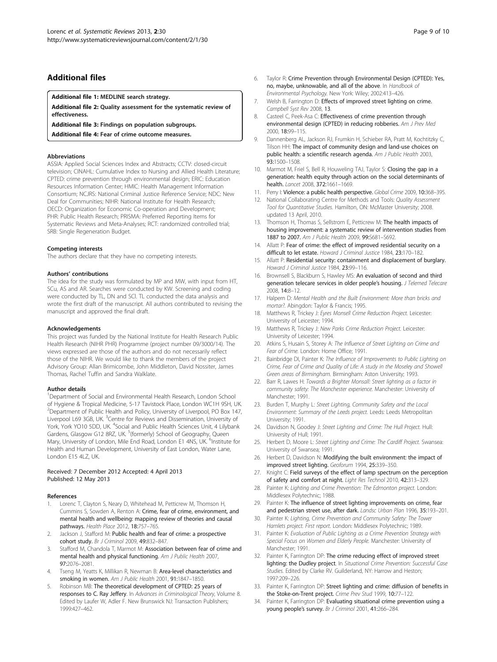# <span id="page-8-0"></span>Additional files

#### [Additional file 1:](http://www.biomedcentral.com/content/supplementary/2046-4053-2-30-S1.doc) MEDLINE search strategy.

[Additional file 2:](http://www.biomedcentral.com/content/supplementary/2046-4053-2-30-S2.doc) Quality assessment for the systematic review of effectiveness.

[Additional file 3:](http://www.biomedcentral.com/content/supplementary/2046-4053-2-30-S3.doc) Findings on population subgroups.

[Additional file 4:](http://www.biomedcentral.com/content/supplementary/2046-4053-2-30-S4.doc) Fear of crime outcome measures.

#### Abbreviations

ASSIA: Applied Social Sciences Index and Abstracts; CCTV: closed-circuit television; CINAHL: Cumulative Index to Nursing and Allied Health Literature; CPTED: crime prevention through environmental design; ERIC: Education Resources Information Center; HMIC: Health Management Information Consortium; NCJRS: National Criminal Justice Reference Service; NDC: New Deal for Communities; NIHR: National Institute for Health Research; OECD: Organization for Economic Co-operation and Development; PHR: Public Health Research; PRISMA: Preferred Reporting Items for Systematic Reviews and Meta-Analyses; RCT: randomized controlled trial; SRB: Single Regeneration Budget.

#### Competing interests

The authors declare that they have no competing interests.

#### Authors' contributions

The idea for the study was formulated by MP and MW, with input from HT, SCu, AS and AR. Searches were conducted by KW. Screening and coding were conducted by TL, DN and SCl. TL conducted the data analysis and wrote the first draft of the manuscript. All authors contributed to revising the manuscript and approved the final draft.

#### Acknowledgements

This project was funded by the National Institute for Health Research Public Health Research (NIHR PHR) Programme (project number 09/3000/14). The views expressed are those of the authors and do not necessarily reflect those of the NIHR. We would like to thank the members of the project Advisory Group: Allan Brimicombe, John Middleton, David Nossiter, James Thomas, Rachel Tuffin and Sandra Walklate.

#### Author details

<sup>1</sup>Department of Social and Environmental Health Research, London School of Hygiene & Tropical Medicine, 5-17 Tavistock Place, London WC1H 9SH, UK. <sup>2</sup> Department of Public Health and Policy, University of Liverpool, PO Box 147, Liverpool L69 3GB, UK. <sup>3</sup>Centre for Reviews and Dissemination, University of York, York YO10 5DD, UK. <sup>4</sup>Social and Public Health Sciences Unit, 4 Lilybank Gardens, Glasgow G12 8RZ, UK. <sup>5</sup>(formerly) School of Geography, Queen Mary, University of London, Mile End Road, London E1 4NS, UK. <sup>6</sup>Institute for Health and Human Development, University of East London, Water Lane, London E15 4LZ, UK.

#### Received: 7 December 2012 Accepted: 4 April 2013 Published: 12 May 2013

#### References

- 1. Lorenc T, Clayton S, Neary D, Whitehead M, Petticrew M, Thomson H, Cummins S, Sowden A, Renton A: Crime, fear of crime, environment, and mental health and wellbeing: mapping review of theories and causal pathways. Health Place 2012, 18:757–765.
- Jackson J, Stafford M: Public health and fear of crime: a prospective cohort study. Br J Criminol 2009, 49:832–847.
- 3. Stafford M, Chandola T, Marmot M: Association between fear of crime and mental health and physical functioning. Am J Public Health 2007, 97:2076–2081.
- 4. Tseng M, Yeatts K, Millikan R, Newman B: Area-level characteristics and smoking in women. Am J Public Health 2001, 91:1847-1850.
- Robinson MB: The theoretical development of CPTED: 25 years of responses to C. Ray Jeffery. In Advances in Criminological Theory, Volume 8. Edited by Laufer W, Adler F. New Brunswick NJ: Transaction Publishers; 1999:427–462.
- 6. Taylor R: Crime Prevention through Environmental Design (CPTED): Yes, no, maybe, unknowable, and all of the above. In Handbook of Environmental Psychology. New York: Wiley; 2002:413–426.
- 7. Welsh B, Farrington D: Effects of improved street lighting on crime. Campbell Syst Rev 2008, 13.
- 8. Casteel C, Peek-Asa C: Effectiveness of crime prevention through environmental design (CPTED) in reducing robberies. Am J Prev Med 2000, 18:99–115.
- 9. Dannenberg AL, Jackson RJ, Frumkin H, Schieber RA, Pratt M, Kochtitzky C, Tilson HH: The impact of community design and land-use choices on public health: a scientific research agenda. Am J Public Health 2003, 93:1500–1508.
- 10. Marmot M, Friel S, Bell R, Houweling TAJ, Taylor S: Closing the gap in a generation: health equity through action on the social determinants of health. Lancet 2008, 372:1661–1669.
- 11. Perry I: Violence: a public health perspective. Global Crime 2009, 10:368-395.
- 12. National Collaborating Centre for Methods and Tools: Quality Assessment Tool for Quantitative Studies. Hamilton, ON: McMaster University; 2008. updated 13 April, 2010.
- 13. Thomson H, Thomas S, Sellstrom E, Petticrew M: The health impacts of housing improvement: a systematic review of intervention studies from 1887 to 2007. Am J Public Health 2009, 99:S681-S692.
- 14. Allatt P: Fear of crime: the effect of improved residential security on a difficult to let estate. Howard J Criminal Justice 1984, 23:170-182.
- 15. Allatt P: Residential security: containment and displacement of burglary. Howard J Criminal Justice 1984, 23:99–116.
- 16. Brownsell S, Blackburn S, Hawley MS: An evaluation of second and third generation telecare services in older people's housing. J Telemed Telecare 2008, 14:8–12.
- 17. Halpern D: Mental Health and the Built Environment: More than bricks and mortar?. Abingdon: Taylor & Francis; 1995.
- 18. Matthews R, Trickey J: Eyres Monsell Crime Reduction Project. Leicester: University of Leicester; 1994.
- 19. Matthews R, Trickey J: New Parks Crime Reduction Project. Leicester: University of Leicester; 1994.
- 20. Atkins S, Husain S, Storey A: The Influence of Street Lighting on Crime and Fear of Crime. London: Home Office; 1991.
- 21. Bainbridge DI, Painter K: The Influence of Improvements to Public Lighting on Crime, Fear of Crime and Quality of Life: A study in the Moseley and Showell Green areas of Birmingham. Birmingham: Aston University; 1993.
- 22. Barr R, Lawes H: Towards a Brighter Monsall: Street lighting as a factor in community safety: The Manchester experience. Manchester: University of Manchester; 1991.
- 23. Burden T, Murphy L: Street Lighting, Community Safety and the Local Environment: Summary of the Leeds project. Leeds: Leeds Metropolitan University; 1991.
- 24. Davidson N, Goodey J: Street Lighting and Crime: The Hull Project. Hull: University of Hull; 1991.
- 25. Herbert D, Moore L: Street Lighting and Crime: The Cardiff Project. Swansea: University of Swansea; 1991.
- 26. Herbert D, Davidson N: Modifying the built environment: the impact of improved street lighting. Geoforum 1994, 25:339–350.
- 27. Knight C: Field surveys of the effect of lamp spectrum on the perception of safety and comfort at night. Light Res Technol 2010, 42:313–329.
- 28. Painter K: Lighting and Crime Prevention: The Edmonton project. London: Middlesex Polytechnic; 1988.
- 29. Painter K: The influence of street lighting improvements on crime, fear and pedestrian street use, after dark. Landsc Urban Plan 1996, 35:193–201.
- 30. Painter K: Lighting, Crime Prevention and Community Safety: The Tower Hamlets project. First report. London: Middlesex Polytechnic; 1989.
- 31. Painter K: Evaluation of Public Lighting as a Crime Prevention Strategy with Special Focus on Women and Elderly People. Manchester: University of Manchester; 1991.
- 32. Painter K, Farrington DP: The crime reducing effect of improved street lighting: the Dudley project. In Situational Crime Prevention: Successful Case Studies. Edited by Clarke RV. Guilderland, NY: Harrow and Heston; 1997:209–226.
- 33. Painter K, Farrington DP: Street lighting and crime: diffusion of benefits in the Stoke-on-Trent project. Crime Prev Stud 1999, 10:77–122.
- 34. Painter K, Farrington DP: Evaluating situational crime prevention using a young people's survey. Br J Criminol 2001, 41:266–284.